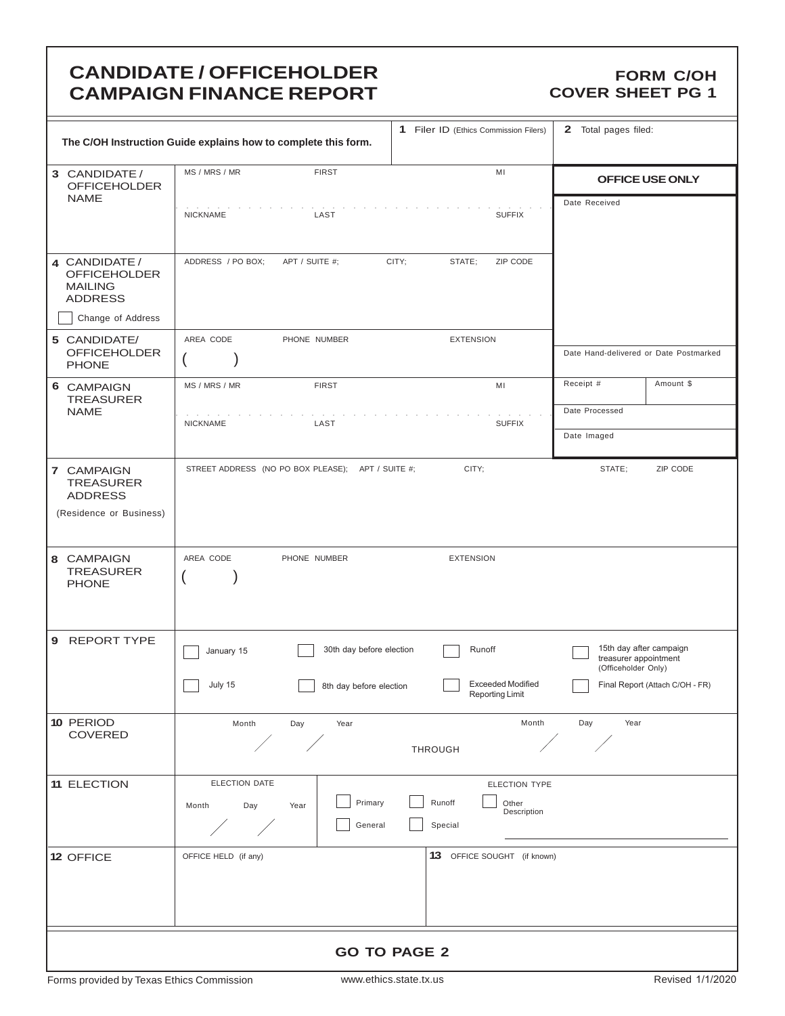# **CANDIDATE / OFFICEHOLDER CAMPAIGN FINANCE REPORT**

### **FORM C/OH COVER SHEET PG 1**

|                                                                             | The C/OH Instruction Guide explains how to complete this form. | 1 Filer ID (Ethics Commission Filers)              | 2 Total pages filed:                                                    |  |  |  |
|-----------------------------------------------------------------------------|----------------------------------------------------------------|----------------------------------------------------|-------------------------------------------------------------------------|--|--|--|
| 3 CANDIDATE /<br><b>OFFICEHOLDER</b>                                        | MS / MRS / MR<br><b>FIRST</b>                                  | OFFICE USE ONLY                                    |                                                                         |  |  |  |
| <b>NAME</b>                                                                 | <b>NICKNAME</b><br>LAST                                        | <b>SUFFIX</b>                                      | Date Received                                                           |  |  |  |
| 4 CANDIDATE /<br><b>OFFICEHOLDER</b><br><b>MAILING</b><br><b>ADDRESS</b>    | ADDRESS / PO BOX;<br>APT / SUITE #;                            | CITY;<br>STATE;<br>ZIP CODE                        |                                                                         |  |  |  |
| Change of Address                                                           |                                                                |                                                    |                                                                         |  |  |  |
| 5 CANDIDATE/<br><b>OFFICEHOLDER</b><br><b>PHONE</b>                         | AREA CODE<br>PHONE NUMBER                                      | <b>EXTENSION</b>                                   | Date Hand-delivered or Date Postmarked                                  |  |  |  |
| 6 CAMPAIGN<br><b>TREASURER</b>                                              | MS / MRS / MR<br><b>FIRST</b>                                  | MI                                                 | Receipt #<br>Amount \$                                                  |  |  |  |
| <b>NAME</b>                                                                 | <b>NICKNAME</b><br>LAST                                        | <b>SUFFIX</b>                                      | Date Processed                                                          |  |  |  |
|                                                                             |                                                                |                                                    | Date Imaged                                                             |  |  |  |
| 7 CAMPAIGN<br><b>TREASURER</b><br><b>ADDRESS</b><br>(Residence or Business) | STREET ADDRESS (NO PO BOX PLEASE); APT / SUITE #;              | CITY;                                              | STATE;<br>ZIP CODE                                                      |  |  |  |
| 8 CAMPAIGN<br><b>TREASURER</b><br><b>PHONE</b>                              | AREA CODE<br>PHONE NUMBER                                      | <b>EXTENSION</b>                                   |                                                                         |  |  |  |
| 9 REPORT TYPE                                                               | 30th day before election<br>January 15                         | Runoff                                             | 15th day after campaign<br>treasurer appointment<br>(Officeholder Only) |  |  |  |
|                                                                             | July 15<br>8th day before election                             | <b>Exceeded Modified</b><br><b>Reporting Limit</b> | Final Report (Attach C/OH - FR)                                         |  |  |  |
| 10 PERIOD<br>COVERED                                                        | Month<br>Day<br>Year                                           | Month<br>THROUGH                                   | Day<br>Year                                                             |  |  |  |
| 11 ELECTION                                                                 | ELECTION DATE                                                  | ELECTION TYPE                                      |                                                                         |  |  |  |
|                                                                             | Primary<br>Day<br>Month<br>Year<br>General                     | Runoff<br>Other<br>Description<br>Special          |                                                                         |  |  |  |
| 12 OFFICE                                                                   | OFFICE HELD (if any)                                           | 13 OFFICE SOUGHT (if known)                        |                                                                         |  |  |  |
|                                                                             |                                                                |                                                    |                                                                         |  |  |  |
| <b>GO TO PAGE 2</b>                                                         |                                                                |                                                    |                                                                         |  |  |  |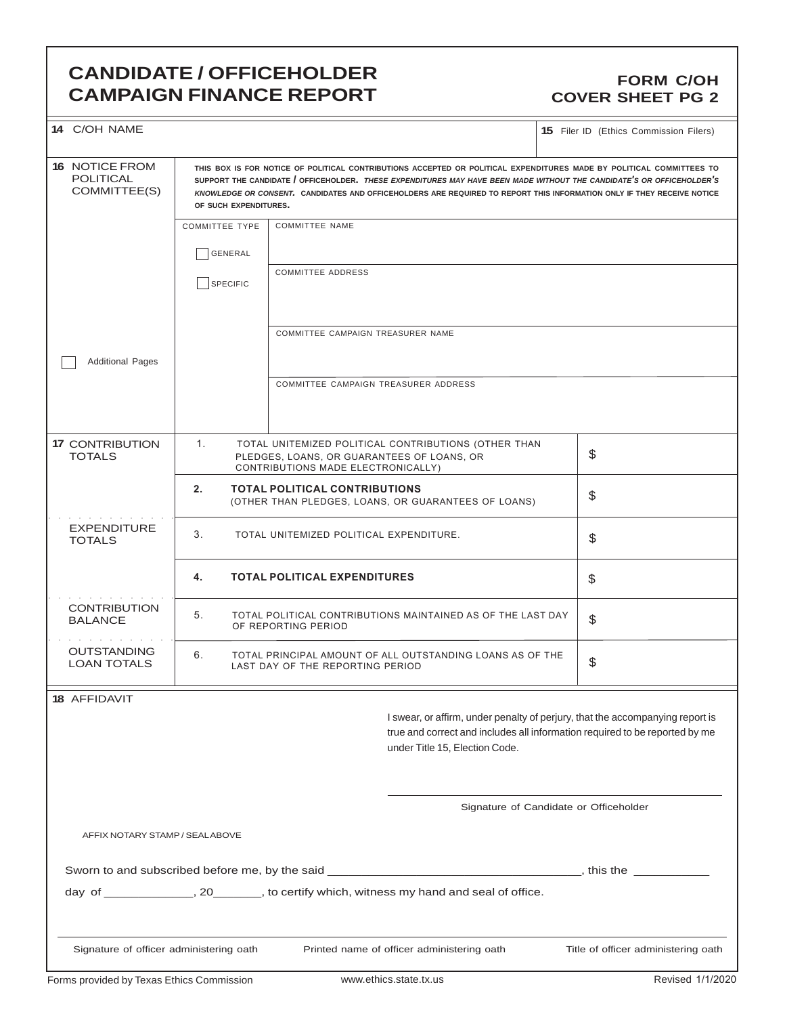### **CANDIDATE / OFFICEHOLDER CAMPAIGN FINANCE REPORT**

### **FORM C/OH COVER SHEET PG 2**

| 14 C/OH NAME                                                                                                                                                                                                                                                                                                                                                                                                                                                  |                                  |                                                                                  |                                                                                          | <b>15</b> Filer ID (Ethics Commission Filers)                                                                                                                |
|---------------------------------------------------------------------------------------------------------------------------------------------------------------------------------------------------------------------------------------------------------------------------------------------------------------------------------------------------------------------------------------------------------------------------------------------------------------|----------------------------------|----------------------------------------------------------------------------------|------------------------------------------------------------------------------------------|--------------------------------------------------------------------------------------------------------------------------------------------------------------|
| <b>16 NOTICE FROM</b><br>THIS BOX IS FOR NOTICE OF POLITICAL CONTRIBUTIONS ACCEPTED OR POLITICAL EXPENDITURES MADE BY POLITICAL COMMITTEES TO<br><b>POLITICAL</b><br>SUPPORT THE CANDIDATE / OFFICEHOLDER. THESE EXPENDITURES MAY HAVE BEEN MADE WITHOUT THE CANDIDATE'S OR OFFICEHOLDER'S<br>COMMITTEE(S)<br>KNOWLEDGE OR CONSENT. CANDIDATES AND OFFICEHOLDERS ARE REQUIRED TO REPORT THIS INFORMATION ONLY IF THEY RECEIVE NOTICE<br>OF SUCH EXPENDITURES. |                                  |                                                                                  |                                                                                          |                                                                                                                                                              |
|                                                                                                                                                                                                                                                                                                                                                                                                                                                               | <b>COMMITTEE TYPE</b><br>GENERAL | COMMITTEE NAME                                                                   |                                                                                          |                                                                                                                                                              |
|                                                                                                                                                                                                                                                                                                                                                                                                                                                               | <b>SPECIFIC</b>                  | <b>COMMITTEE ADDRESS</b>                                                         |                                                                                          |                                                                                                                                                              |
|                                                                                                                                                                                                                                                                                                                                                                                                                                                               |                                  | COMMITTEE CAMPAIGN TREASURER NAME                                                |                                                                                          |                                                                                                                                                              |
| <b>Additional Pages</b>                                                                                                                                                                                                                                                                                                                                                                                                                                       |                                  | COMMITTEE CAMPAIGN TREASURER ADDRESS                                             |                                                                                          |                                                                                                                                                              |
| <b>17 CONTRIBUTION</b><br><b>TOTALS</b>                                                                                                                                                                                                                                                                                                                                                                                                                       | 1.                               | PLEDGES, LOANS, OR GUARANTEES OF LOANS, OR<br>CONTRIBUTIONS MADE ELECTRONICALLY) | TOTAL UNITEMIZED POLITICAL CONTRIBUTIONS (OTHER THAN                                     | \$                                                                                                                                                           |
|                                                                                                                                                                                                                                                                                                                                                                                                                                                               | 2.                               | <b>TOTAL POLITICAL CONTRIBUTIONS</b>                                             | (OTHER THAN PLEDGES, LOANS, OR GUARANTEES OF LOANS)                                      | \$                                                                                                                                                           |
| <b>EXPENDITURE</b><br><b>TOTALS</b>                                                                                                                                                                                                                                                                                                                                                                                                                           | 3.                               | TOTAL UNITEMIZED POLITICAL EXPENDITURE.                                          |                                                                                          | \$                                                                                                                                                           |
|                                                                                                                                                                                                                                                                                                                                                                                                                                                               | 4.                               | <b>TOTAL POLITICAL EXPENDITURES</b>                                              |                                                                                          | \$                                                                                                                                                           |
| <b>CONTRIBUTION</b><br><b>BALANCE</b>                                                                                                                                                                                                                                                                                                                                                                                                                         | 5.                               | OF REPORTING PERIOD                                                              | TOTAL POLITICAL CONTRIBUTIONS MAINTAINED AS OF THE LAST DAY                              | \$                                                                                                                                                           |
| <b>OUTSTANDING</b><br><b>LOAN TOTALS</b>                                                                                                                                                                                                                                                                                                                                                                                                                      | 6.                               | LAST DAY OF THE REPORTING PERIOD                                                 | TOTAL PRINCIPAL AMOUNT OF ALL OUTSTANDING LOANS AS OF THE                                | \$                                                                                                                                                           |
| <b>18 AFFIDAVIT</b>                                                                                                                                                                                                                                                                                                                                                                                                                                           |                                  |                                                                                  |                                                                                          |                                                                                                                                                              |
|                                                                                                                                                                                                                                                                                                                                                                                                                                                               |                                  |                                                                                  | under Title 15, Election Code.                                                           | I swear, or affirm, under penalty of perjury, that the accompanying report is<br>true and correct and includes all information required to be reported by me |
|                                                                                                                                                                                                                                                                                                                                                                                                                                                               |                                  |                                                                                  |                                                                                          | Signature of Candidate or Officeholder                                                                                                                       |
| AFFIX NOTARY STAMP / SEALABOVE                                                                                                                                                                                                                                                                                                                                                                                                                                |                                  |                                                                                  |                                                                                          |                                                                                                                                                              |
|                                                                                                                                                                                                                                                                                                                                                                                                                                                               |                                  |                                                                                  |                                                                                          |                                                                                                                                                              |
|                                                                                                                                                                                                                                                                                                                                                                                                                                                               |                                  |                                                                                  | day of ______________, 20________, to certify which, witness my hand and seal of office. |                                                                                                                                                              |
| Signature of officer administering oath                                                                                                                                                                                                                                                                                                                                                                                                                       |                                  |                                                                                  | Printed name of officer administering oath                                               | Title of officer administering oath                                                                                                                          |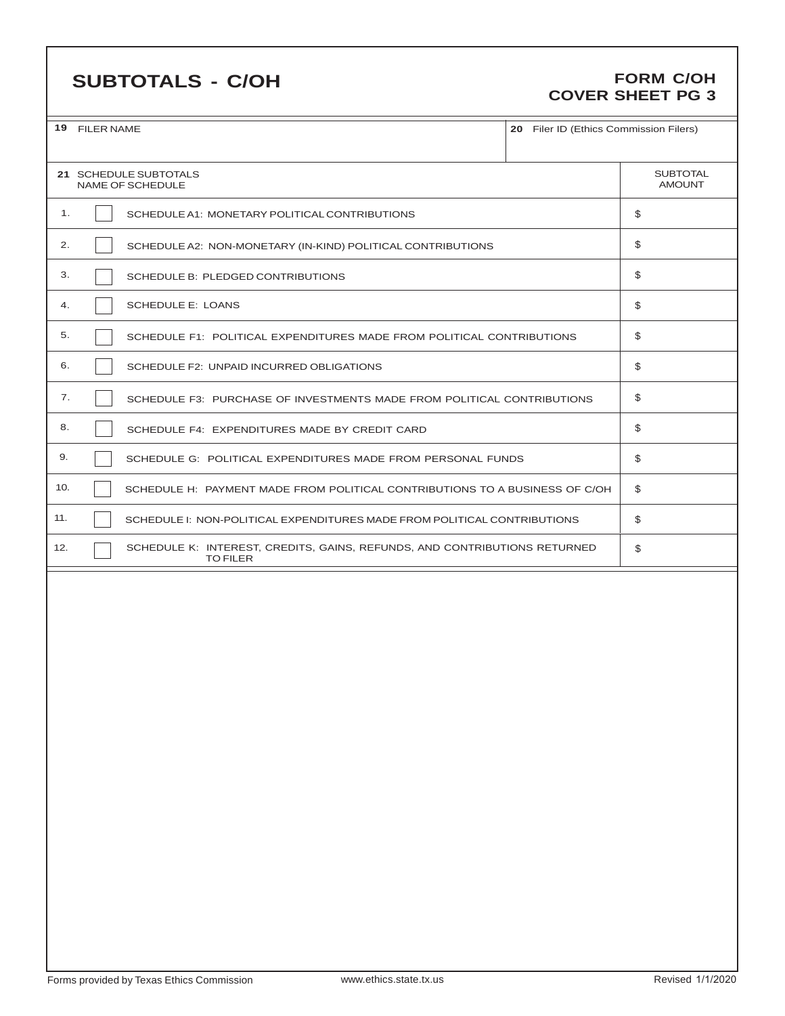# **SUBTOTALS - C/OH**

### **FORM C/OH COVER SHEET PG 3**

|     | 19 FILER NAME<br>20 Filer ID (Ethics Commission Filers)                                      |    |                                  |  |  |
|-----|----------------------------------------------------------------------------------------------|----|----------------------------------|--|--|
|     | 21 SCHEDULE SUBTOTALS<br><b>NAME OF SCHEDULE</b>                                             |    | <b>SUBTOTAL</b><br><b>AMOUNT</b> |  |  |
| 1.  | SCHEDULE A1: MONETARY POLITICAL CONTRIBUTIONS                                                |    | \$                               |  |  |
| 2.  | SCHEDULE A2: NON-MONETARY (IN-KIND) POLITICAL CONTRIBUTIONS                                  |    | \$                               |  |  |
| 3.  | SCHEDULE B: PLEDGED CONTRIBUTIONS                                                            |    | \$                               |  |  |
| 4.  | <b>SCHEDULE E: LOANS</b>                                                                     |    | \$                               |  |  |
| 5.  | SCHEDULE F1: POLITICAL EXPENDITURES MADE FROM POLITICAL CONTRIBUTIONS                        |    | \$                               |  |  |
| 6.  | SCHEDULE F2: UNPAID INCURRED OBLIGATIONS                                                     |    | \$                               |  |  |
| 7.  | SCHEDULE F3: PURCHASE OF INVESTMENTS MADE FROM POLITICAL CONTRIBUTIONS                       |    | \$                               |  |  |
| 8.  | SCHEDULE F4: EXPENDITURES MADE BY CREDIT CARD                                                |    | \$                               |  |  |
| 9.  | SCHEDULE G: POLITICAL EXPENDITURES MADE FROM PERSONAL FUNDS                                  | \$ |                                  |  |  |
| 10. | SCHEDULE H: PAYMENT MADE FROM POLITICAL CONTRIBUTIONS TO A BUSINESS OF C/OH                  |    | \$                               |  |  |
| 11. | SCHEDULE I: NON-POLITICAL EXPENDITURES MADE FROM POLITICAL CONTRIBUTIONS                     |    | \$                               |  |  |
| 12. | SCHEDULE K: INTEREST, CREDITS, GAINS, REFUNDS, AND CONTRIBUTIONS RETURNED<br><b>TO FILER</b> |    | \$                               |  |  |
|     |                                                                                              |    |                                  |  |  |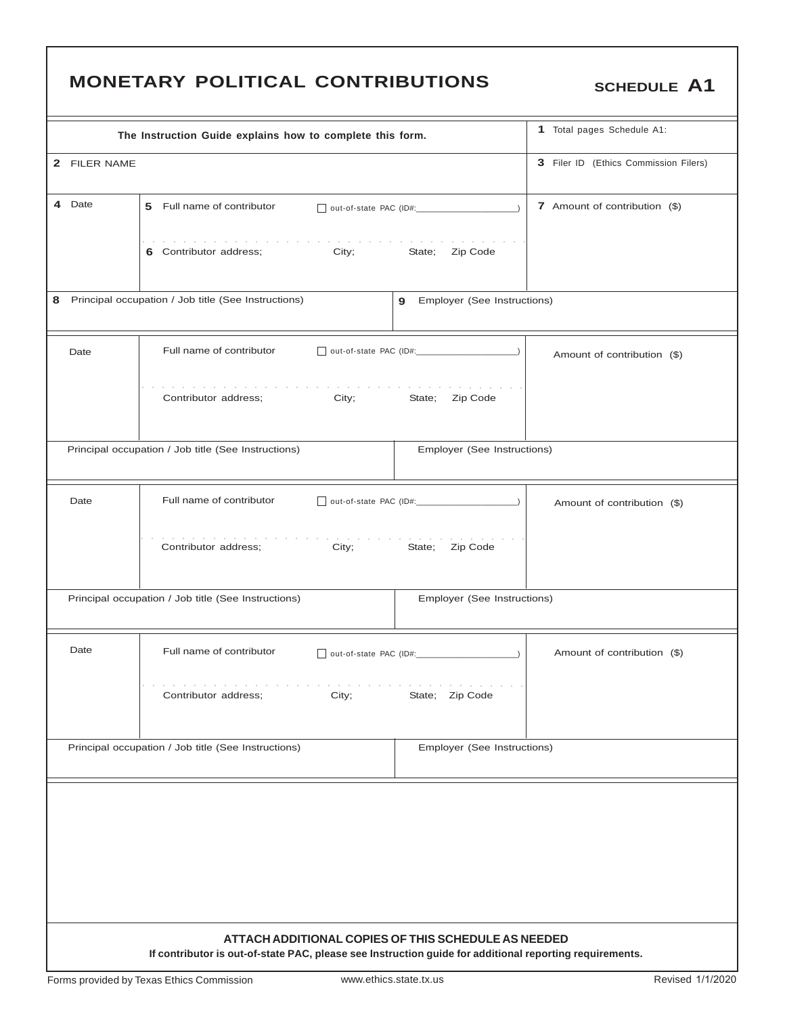|                                                                                              |              | <b>MONETARY POLITICAL CONTRIBUTIONS</b>                                                                 |                                       | <b>SCHEDULE A1</b>          |  |  |  |  |
|----------------------------------------------------------------------------------------------|--------------|---------------------------------------------------------------------------------------------------------|---------------------------------------|-----------------------------|--|--|--|--|
|                                                                                              |              | The Instruction Guide explains how to complete this form.                                               |                                       | 1 Total pages Schedule A1:  |  |  |  |  |
|                                                                                              | 2 FILER NAME |                                                                                                         | 3 Filer ID (Ethics Commission Filers) |                             |  |  |  |  |
|                                                                                              | 4 Date       | 5 Full name of contributor                                                                              | 7 Amount of contribution (\$)         |                             |  |  |  |  |
|                                                                                              |              | the second contract of the second contract of the second<br>6 Contributor address; City;                | State; Zip Code                       |                             |  |  |  |  |
| Principal occupation / Job title (See Instructions)<br>Employer (See Instructions)<br>8<br>9 |              |                                                                                                         |                                       |                             |  |  |  |  |
|                                                                                              | Date         | Full name of contributor<br>out-of-state PAC (ID#:                                                      |                                       | Amount of contribution (\$) |  |  |  |  |
|                                                                                              |              | Contributor address;<br>City;                                                                           | Zip Code<br>State;                    |                             |  |  |  |  |
|                                                                                              |              | Principal occupation / Job title (See Instructions)                                                     | Employer (See Instructions)           |                             |  |  |  |  |
|                                                                                              | Date         | Full name of contributor<br>out-of-state PAC (ID#:                                                      |                                       | Amount of contribution (\$) |  |  |  |  |
|                                                                                              |              | Contributor address;<br>City;                                                                           | State;<br>Zip Code                    |                             |  |  |  |  |
|                                                                                              |              | Principal occupation / Job title (See Instructions)                                                     | Employer (See Instructions)           |                             |  |  |  |  |
|                                                                                              | Date         | Full name of contributor                                                                                |                                       | Amount of contribution (\$) |  |  |  |  |
| Contributor address:<br>City;<br>State; Zip Code                                             |              |                                                                                                         |                                       |                             |  |  |  |  |
|                                                                                              |              | Principal occupation / Job title (See Instructions)                                                     | Employer (See Instructions)           |                             |  |  |  |  |
|                                                                                              |              | ATTACH ADDITIONAL COPIES OF THIS SCHEDULE AS NEEDED                                                     |                                       |                             |  |  |  |  |
|                                                                                              |              | If contributor is out-of-state PAC, please see Instruction guide for additional reporting requirements. |                                       |                             |  |  |  |  |

Г

٦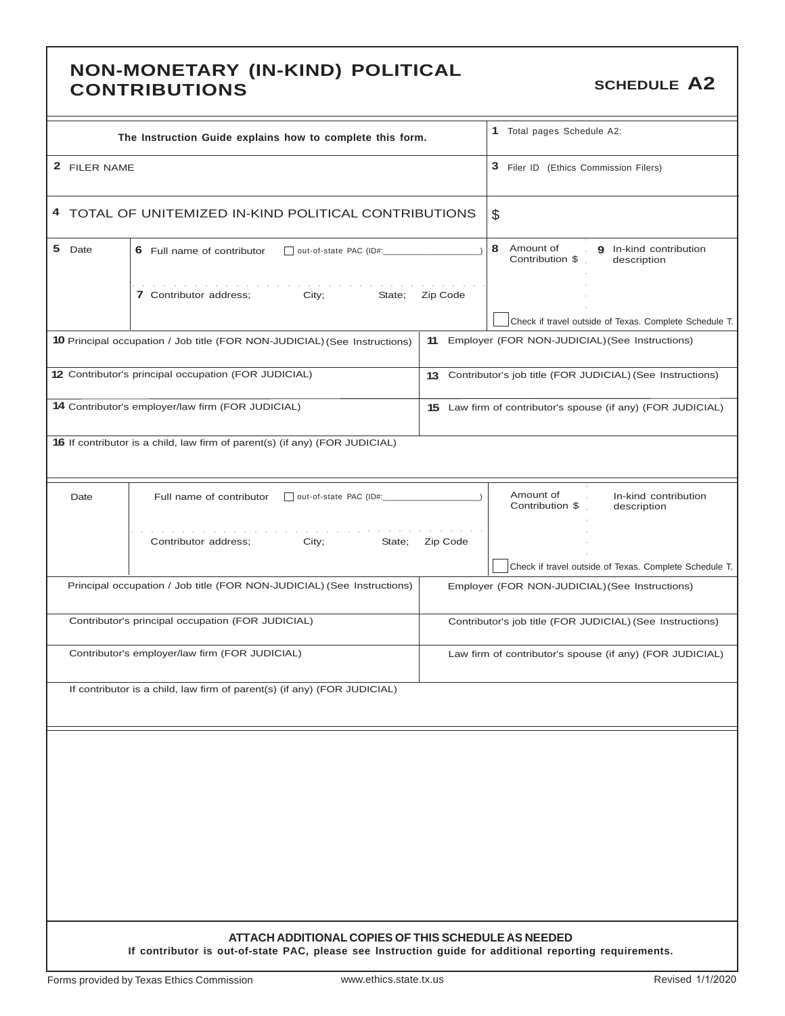### **NON-MONETARY (IN-KIND) POLITICAL CONTRIBUTIONS CONTRIBUTIONS SCHEDULE A2**

| The Instruction Guide explains how to complete this form.                                                                                                                                                                                                                  |          | 1 Total pages Schedule A2:                                                                               |
|----------------------------------------------------------------------------------------------------------------------------------------------------------------------------------------------------------------------------------------------------------------------------|----------|----------------------------------------------------------------------------------------------------------|
| 2 FILER NAME                                                                                                                                                                                                                                                               |          | 3 Filer ID (Ethics Commission Filers)                                                                    |
| 4 TOTAL OF UNITEMIZED IN-KIND POLITICAL CONTRIBUTIONS                                                                                                                                                                                                                      |          | \$                                                                                                       |
| 5 Date<br>6 Full name of contributor                                                                                                                                                                                                                                       |          | 8 Amount of<br>9 In-kind contribution<br>Contribution \$<br>description                                  |
| the control of the control of the control of the control of the control of the control of the control of the control of the control of the control of the control of the control of the control of the control of the control<br>7 Contributor address;<br>City;<br>State; | Zip Code |                                                                                                          |
| <b>10</b> Principal occupation / Job title (FOR NON-JUDICIAL) (See Instructions)                                                                                                                                                                                           | 11       | Check if travel outside of Texas. Complete Schedule T.<br>Employer (FOR NON-JUDICIAL) (See Instructions) |
|                                                                                                                                                                                                                                                                            |          |                                                                                                          |
| 12 Contributor's principal occupation (FOR JUDICIAL)                                                                                                                                                                                                                       |          | 13 Contributor's job title (FOR JUDICIAL) (See Instructions)                                             |
| 14 Contributor's employer/law firm (FOR JUDICIAL)                                                                                                                                                                                                                          |          | 15 Law firm of contributor's spouse (if any) (FOR JUDICIAL)                                              |
| <b>16</b> If contributor is a child, law firm of parent(s) (if any) (FOR JUDICIAL)                                                                                                                                                                                         |          |                                                                                                          |
| Date<br>Full name of contributor                                                                                                                                                                                                                                           |          | Amount of<br>In-kind contribution<br>$\mathcal{L}$<br>Contribution \$<br>description                     |
| Contributor address;<br>City;<br>State;                                                                                                                                                                                                                                    | Zip Code |                                                                                                          |
|                                                                                                                                                                                                                                                                            |          | Check if travel outside of Texas. Complete Schedule T.                                                   |
| Principal occupation / Job title (FOR NON-JUDICIAL) (See Instructions)                                                                                                                                                                                                     |          | Employer (FOR NON-JUDICIAL) (See Instructions)                                                           |
| Contributor's principal occupation (FOR JUDICIAL)                                                                                                                                                                                                                          |          | Contributor's job title (FOR JUDICIAL) (See Instructions)                                                |
| Contributor's employer/law firm (FOR JUDICIAL)                                                                                                                                                                                                                             |          | Law firm of contributor's spouse (if any) (FOR JUDICIAL)                                                 |
| If contributor is a child, law firm of parent(s) (if any) (FOR JUDICIAL)                                                                                                                                                                                                   |          |                                                                                                          |
|                                                                                                                                                                                                                                                                            |          |                                                                                                          |
|                                                                                                                                                                                                                                                                            |          |                                                                                                          |
|                                                                                                                                                                                                                                                                            |          |                                                                                                          |
|                                                                                                                                                                                                                                                                            |          |                                                                                                          |
|                                                                                                                                                                                                                                                                            |          |                                                                                                          |
|                                                                                                                                                                                                                                                                            |          |                                                                                                          |
|                                                                                                                                                                                                                                                                            |          |                                                                                                          |
| ATTACH ADDITIONAL COPIES OF THIS SCHEDULE AS NEEDED                                                                                                                                                                                                                        |          |                                                                                                          |
| If contributor is out-of-state PAC, please see Instruction guide for additional reporting requirements.                                                                                                                                                                    |          |                                                                                                          |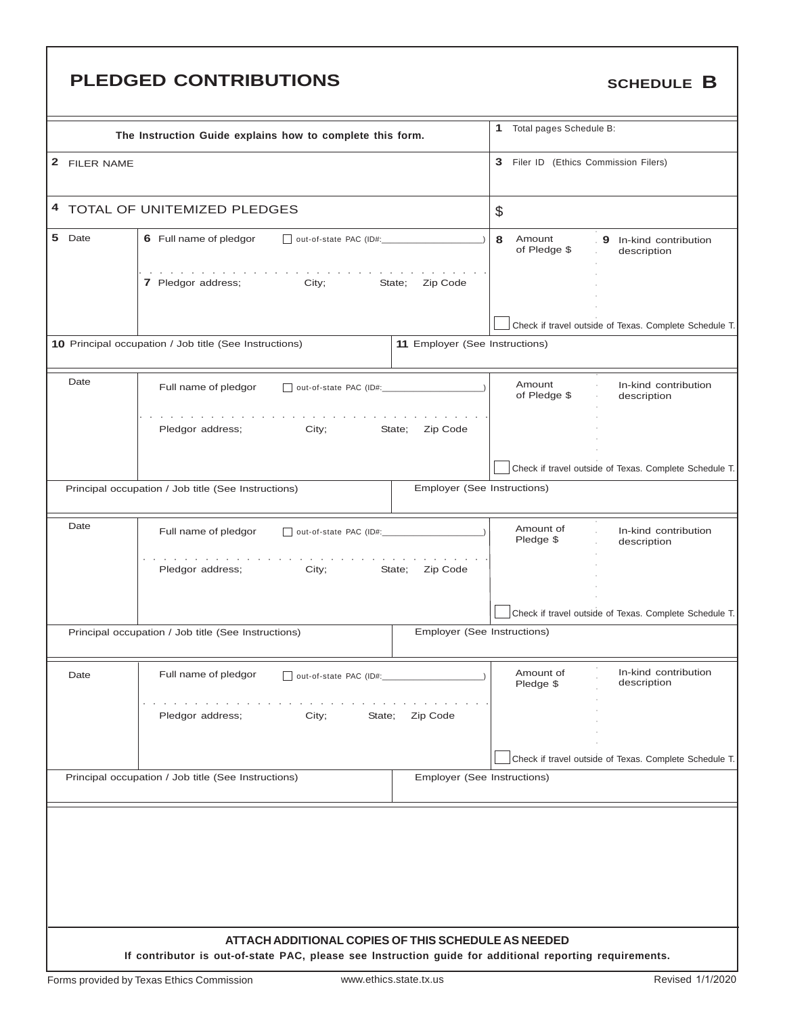# **PLEDGED CONTRIBUTIONS** SCHEDULE B

|              | The Instruction Guide explains how to complete this form.                                               |                                | $\mathbf{1}$<br>Total pages Schedule B: |                                                        |
|--------------|---------------------------------------------------------------------------------------------------------|--------------------------------|-----------------------------------------|--------------------------------------------------------|
| 2 FILER NAME |                                                                                                         |                                | 3 Filer ID (Ethics Commission Filers)   |                                                        |
|              | 4 TOTAL OF UNITEMIZED PLEDGES                                                                           |                                | \$                                      |                                                        |
| 5 Date       | 6 Full name of pledgor<br>out-of-state PAC (ID#:                                                        |                                | 8<br>Amount<br>of Pledge \$             | 9 In-kind contribution<br>description                  |
|              | 7 Pledgor address;<br>City;                                                                             | State;<br>Zip Code             |                                         |                                                        |
|              |                                                                                                         |                                |                                         | Check if travel outside of Texas. Complete Schedule T. |
|              | 10 Principal occupation / Job title (See Instructions)                                                  | 11 Employer (See Instructions) |                                         |                                                        |
| Date         | Full name of pledgor                                                                                    |                                | Amount<br>of Pledge \$                  | In-kind contribution<br>description                    |
|              | Pledgor address;<br>City;                                                                               | State;<br>Zip Code             |                                         |                                                        |
|              |                                                                                                         |                                |                                         | Check if travel outside of Texas. Complete Schedule T. |
|              | Principal occupation / Job title (See Instructions)                                                     | Employer (See Instructions)    |                                         |                                                        |
| Date         | Full name of pledgor<br>out-of-state PAC (ID#:                                                          |                                | Amount of<br>Pledge \$                  | In-kind contribution<br>description                    |
|              | Pledgor address;<br>City;                                                                               | State;<br>Zip Code             |                                         |                                                        |
|              |                                                                                                         |                                |                                         | Check if travel outside of Texas. Complete Schedule T. |
|              | Principal occupation / Job title (See Instructions)                                                     | Employer (See Instructions)    |                                         |                                                        |
| Date         | Full name of pledgor<br>  out-of-state PAC (ID#:                                                        |                                | Amount of<br>Pledge \$                  | In-kind contribution<br>description                    |
|              | Pledgor address;<br>City;<br>State;                                                                     | Zip Code                       |                                         |                                                        |
|              |                                                                                                         |                                |                                         | Check if travel outside of Texas. Complete Schedule T. |
|              | Principal occupation / Job title (See Instructions)                                                     | Employer (See Instructions)    |                                         |                                                        |
|              |                                                                                                         |                                |                                         |                                                        |
|              |                                                                                                         |                                |                                         |                                                        |
|              |                                                                                                         |                                |                                         |                                                        |
|              | ATTACH ADDITIONAL COPIES OF THIS SCHEDULE AS NEEDED                                                     |                                |                                         |                                                        |
|              | If contributor is out-of-state PAC, please see Instruction guide for additional reporting requirements. |                                |                                         |                                                        |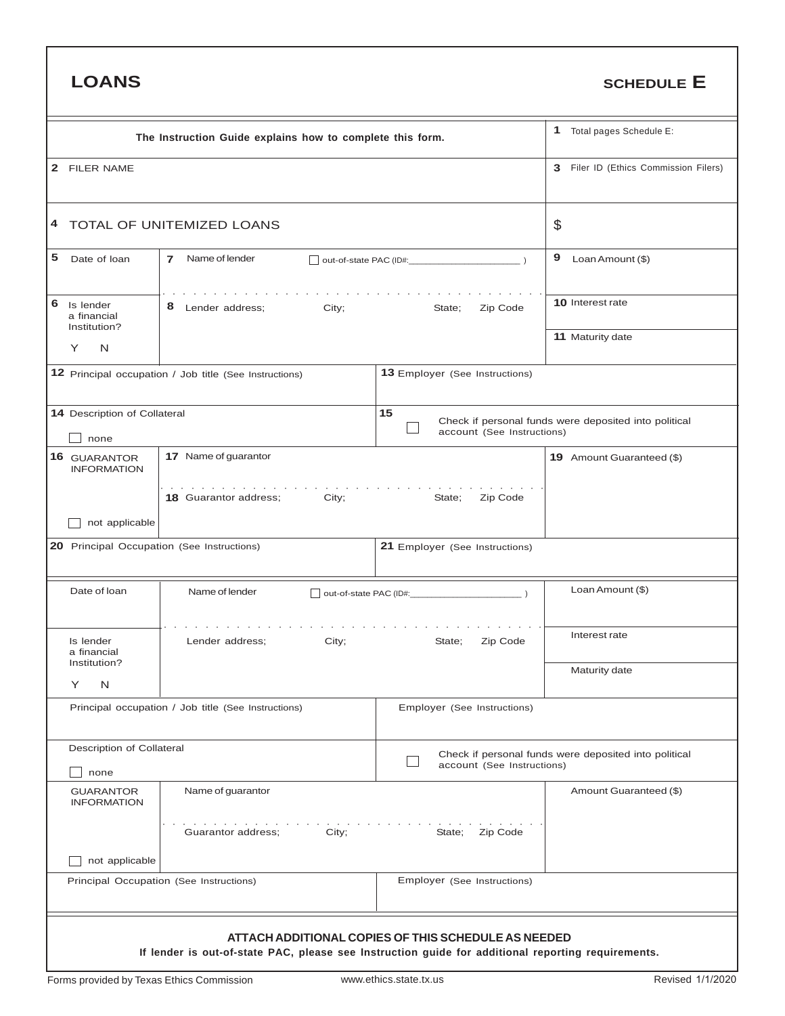| <b>LOANS</b>                                           |                                                                                                       |                                                     | <b>SCHEDULE E</b>                                     |
|--------------------------------------------------------|-------------------------------------------------------------------------------------------------------|-----------------------------------------------------|-------------------------------------------------------|
|                                                        | The Instruction Guide explains how to complete this form.                                             |                                                     | Total pages Schedule E:<br>1                          |
| $\mathbf{2}$<br><b>FILER NAME</b>                      |                                                                                                       | Filer ID (Ethics Commission Filers)<br>3            |                                                       |
| 4                                                      | TOTAL OF UNITEMIZED LOANS                                                                             |                                                     | \$                                                    |
| 5<br>Date of loan                                      | Name of lender<br>$\overline{7}$                                                                      |                                                     | 9<br>Loan Amount (\$)                                 |
| 6<br>Is lender<br>a financial<br>Institution?          | 8<br>City;<br>Lender address;                                                                         | 10 Interest rate                                    |                                                       |
| N<br>Y                                                 |                                                                                                       |                                                     | 11 Maturity date                                      |
| 12 Principal occupation / Job title (See Instructions) |                                                                                                       |                                                     |                                                       |
| 14 Description of Collateral<br>none                   |                                                                                                       | 15<br>account (See Instructions)                    | Check if personal funds were deposited into political |
| 16 GUARANTOR<br><b>INFORMATION</b>                     | 17 Name of guarantor                                                                                  |                                                     | 19 Amount Guaranteed (\$)                             |
| not applicable                                         | and the contract of the contract of the contract of the con-<br><b>18</b> Guarantor address;<br>City; | Zip Code<br>State;                                  |                                                       |
| 20 Principal Occupation (See Instructions)             |                                                                                                       | 21 Employer (See Instructions)                      |                                                       |
| Date of loan                                           | Name of lender                                                                                        |                                                     | Loan Amount (\$)                                      |
| Is lender<br>a financial<br>Institution?               | Lender address;<br>City;                                                                              | State;<br>Zip Code                                  | Interest rate                                         |
| Υ<br>N                                                 |                                                                                                       |                                                     | Maturity date                                         |
|                                                        | Principal occupation / Job title (See Instructions)                                                   | Employer (See Instructions)                         |                                                       |
| Description of Collateral<br>none                      |                                                                                                       | account (See Instructions)                          | Check if personal funds were deposited into political |
| <b>GUARANTOR</b><br><b>INFORMATION</b>                 | Name of guarantor                                                                                     |                                                     | Amount Guaranteed (\$)                                |
|                                                        | City;<br>Guarantor address;                                                                           | State; Zip Code                                     |                                                       |
| not applicable                                         | Principal Occupation (See Instructions)                                                               | Employer (See Instructions)                         |                                                       |
|                                                        | If lender is out-of-state PAC, please see Instruction guide for additional reporting requirements.    | ATTACH ADDITIONAL COPIES OF THIS SCHEDULE AS NEEDED |                                                       |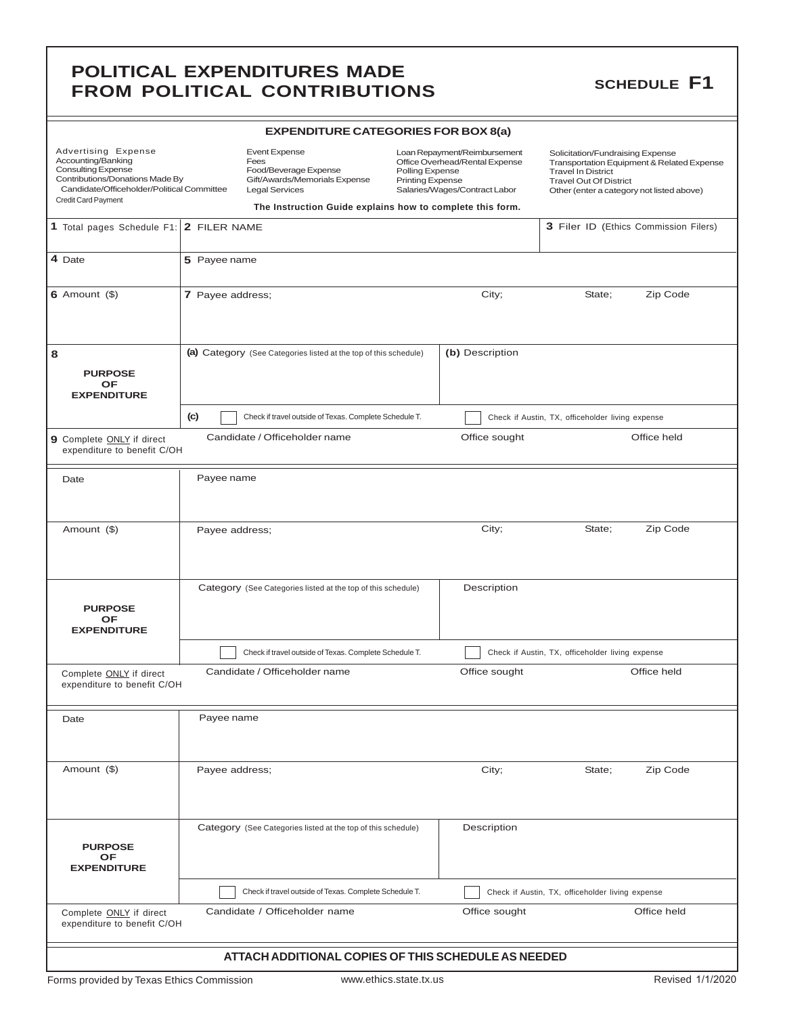### **POLITICAL EXPENDITURES MADE**<br> **EROM BOLITICAL CONTRIBUTIONS**SCHEDULE F1 **FROM POLITICAL CONTRIBUTIONS**

| <b>EXPENDITURE CATEGORIES FOR BOX 8(a)</b> |  |
|--------------------------------------------|--|
|--------------------------------------------|--|

| Advertising Expense<br>Accounting/Banking<br><b>Consulting Expense</b><br>Contributions/Donations Made By<br>Candidate/Officeholder/Political Committee<br>Credit Card Payment |                  | Event Expense<br>Fees<br>Food/Beverage Expense<br>Gift/Awards/Memorials Expense<br><b>Legal Services</b> | Loan Repayment/Reimbursement<br>Office Overhead/Rental Expense<br>Polling Expense<br><b>Printing Expense</b><br>Salaries/Wages/Contract Labor<br>The Instruction Guide explains how to complete this form. |                 | Solicitation/Fundraising Expense<br>Transportation Equipment & Related Expense<br><b>Travel In District</b><br><b>Travel Out Of District</b><br>Other (enter a category not listed above) |                                       |
|--------------------------------------------------------------------------------------------------------------------------------------------------------------------------------|------------------|----------------------------------------------------------------------------------------------------------|------------------------------------------------------------------------------------------------------------------------------------------------------------------------------------------------------------|-----------------|-------------------------------------------------------------------------------------------------------------------------------------------------------------------------------------------|---------------------------------------|
| 1 Total pages Schedule F1: 2 FILER NAME                                                                                                                                        |                  |                                                                                                          |                                                                                                                                                                                                            |                 |                                                                                                                                                                                           | 3 Filer ID (Ethics Commission Filers) |
| 4 Date                                                                                                                                                                         | 5 Payee name     |                                                                                                          |                                                                                                                                                                                                            |                 |                                                                                                                                                                                           |                                       |
| $6$ Amount $($ )                                                                                                                                                               | 7 Payee address; |                                                                                                          |                                                                                                                                                                                                            | City;           | State;                                                                                                                                                                                    | Zip Code                              |
| 8<br><b>PURPOSE</b><br><b>OF</b><br><b>EXPENDITURE</b>                                                                                                                         |                  | (a) Category (See Categories listed at the top of this schedule)                                         |                                                                                                                                                                                                            | (b) Description |                                                                                                                                                                                           |                                       |
|                                                                                                                                                                                | (c)              | Check if travel outside of Texas. Complete Schedule T.                                                   |                                                                                                                                                                                                            |                 | Check if Austin, TX, officeholder living expense                                                                                                                                          |                                       |
| 9 Complete ONLY if direct<br>expenditure to benefit C/OH                                                                                                                       |                  | Candidate / Officeholder name                                                                            |                                                                                                                                                                                                            | Office sought   |                                                                                                                                                                                           | Office held                           |
| Date                                                                                                                                                                           | Payee name       |                                                                                                          |                                                                                                                                                                                                            |                 |                                                                                                                                                                                           |                                       |
| Amount (\$)                                                                                                                                                                    | Payee address;   |                                                                                                          |                                                                                                                                                                                                            | City;           | State;                                                                                                                                                                                    | Zip Code                              |
| <b>PURPOSE</b><br>OF<br><b>EXPENDITURE</b>                                                                                                                                     |                  | Category (See Categories listed at the top of this schedule)                                             |                                                                                                                                                                                                            | Description     |                                                                                                                                                                                           |                                       |
|                                                                                                                                                                                |                  | Check if travel outside of Texas. Complete Schedule T.                                                   |                                                                                                                                                                                                            |                 | Check if Austin, TX, officeholder living expense                                                                                                                                          |                                       |
| Complete ONLY if direct<br>expenditure to benefit C/OH                                                                                                                         |                  | Candidate / Officeholder name                                                                            |                                                                                                                                                                                                            | Office sought   |                                                                                                                                                                                           | Office held                           |
| Date                                                                                                                                                                           | Payee name       |                                                                                                          |                                                                                                                                                                                                            |                 |                                                                                                                                                                                           |                                       |
| Amount (\$)                                                                                                                                                                    | Payee address;   |                                                                                                          |                                                                                                                                                                                                            | City;           | State;                                                                                                                                                                                    | Zip Code                              |
| <b>PURPOSE</b><br>OF<br><b>EXPENDITURE</b>                                                                                                                                     |                  | Category (See Categories listed at the top of this schedule)                                             |                                                                                                                                                                                                            | Description     |                                                                                                                                                                                           |                                       |
|                                                                                                                                                                                |                  | Check if travel outside of Texas. Complete Schedule T.                                                   |                                                                                                                                                                                                            |                 | Check if Austin, TX, officeholder living expense                                                                                                                                          |                                       |
| Complete ONLY if direct<br>expenditure to benefit C/OH                                                                                                                         |                  | Candidate / Officeholder name                                                                            |                                                                                                                                                                                                            | Office sought   |                                                                                                                                                                                           | Office held                           |
|                                                                                                                                                                                |                  | ATTACH ADDITIONAL COPIES OF THIS SCHEDULE AS NEEDED                                                      |                                                                                                                                                                                                            |                 |                                                                                                                                                                                           |                                       |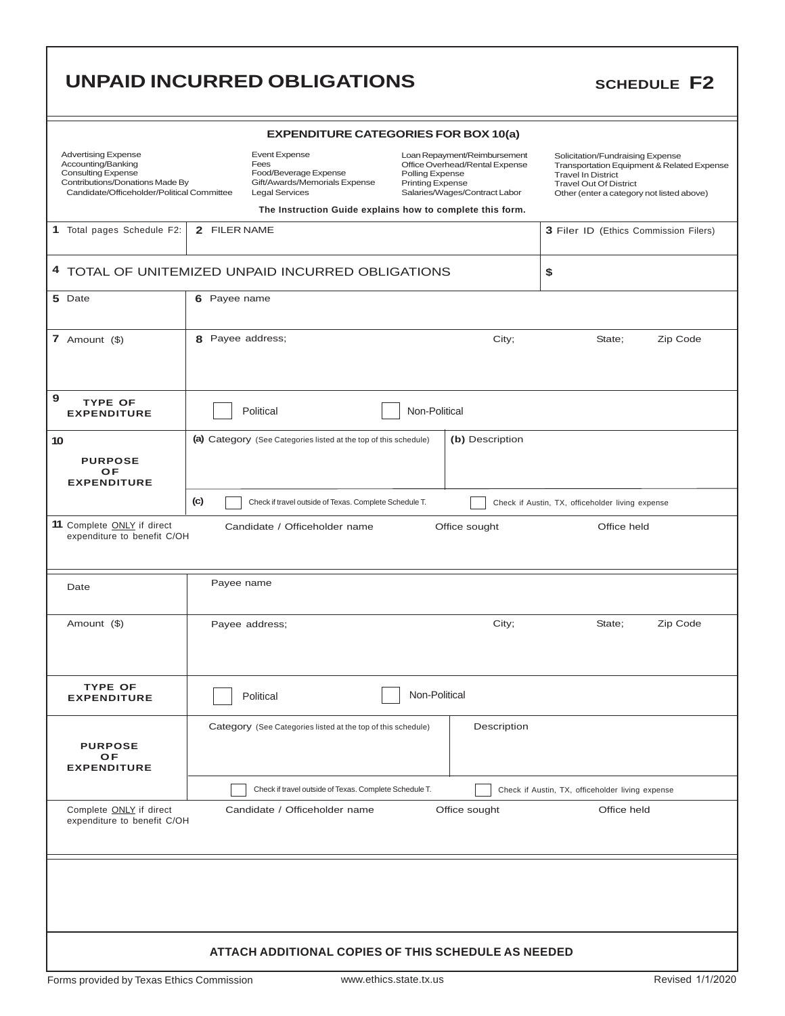|                                                                                                                                                                |                  | <b>UNPAID INCURRED OBLIGATIONS</b>                                                                                                                                           |                                            |                                                                                                 |                                                                                                |             | <b>SCHEDULE F2</b>                                                                      |
|----------------------------------------------------------------------------------------------------------------------------------------------------------------|------------------|------------------------------------------------------------------------------------------------------------------------------------------------------------------------------|--------------------------------------------|-------------------------------------------------------------------------------------------------|------------------------------------------------------------------------------------------------|-------------|-----------------------------------------------------------------------------------------|
|                                                                                                                                                                |                  | <b>EXPENDITURE CATEGORIES FOR BOX 10(a)</b>                                                                                                                                  |                                            |                                                                                                 |                                                                                                |             |                                                                                         |
| <b>Advertising Expense</b><br>Accounting/Banking<br><b>Consulting Expense</b><br>Contributions/Donations Made By<br>Candidate/Officeholder/Political Committee |                  | <b>Event Expense</b><br>Fees<br>Food/Beverage Expense<br>Gift/Awards/Memorials Expense<br><b>Legal Services</b><br>The Instruction Guide explains how to complete this form. | Polling Expense<br><b>Printing Expense</b> | Loan Repayment/Reimbursement<br>Office Overhead/Rental Expense<br>Salaries/Wages/Contract Labor | Solicitation/Fundraising Expense<br><b>Travel In District</b><br><b>Travel Out Of District</b> |             | Transportation Equipment & Related Expense<br>Other (enter a category not listed above) |
| 1 Total pages Schedule F2:                                                                                                                                     | 2 FILER NAME     |                                                                                                                                                                              |                                            |                                                                                                 |                                                                                                |             | 3 Filer ID (Ethics Commission Filers)                                                   |
|                                                                                                                                                                |                  | 4 TOTAL OF UNITEMIZED UNPAID INCURRED OBLIGATIONS                                                                                                                            |                                            |                                                                                                 | \$                                                                                             |             |                                                                                         |
| 5 Date                                                                                                                                                         | 6 Payee name     |                                                                                                                                                                              |                                            |                                                                                                 |                                                                                                |             |                                                                                         |
| 7 Amount $(\$ )                                                                                                                                                | 8 Payee address; |                                                                                                                                                                              |                                            | City;                                                                                           |                                                                                                | State;      | Zip Code                                                                                |
| 9<br><b>TYPE OF</b><br><b>EXPENDITURE</b>                                                                                                                      |                  | Political                                                                                                                                                                    | Non-Political                              |                                                                                                 |                                                                                                |             |                                                                                         |
| 10<br><b>PURPOSE</b><br>OF<br><b>EXPENDITURE</b>                                                                                                               |                  | (a) Category (See Categories listed at the top of this schedule)                                                                                                             |                                            | (b) Description                                                                                 |                                                                                                |             |                                                                                         |
|                                                                                                                                                                | (c)              | Check if travel outside of Texas. Complete Schedule T.                                                                                                                       |                                            |                                                                                                 | Check if Austin, TX, officeholder living expense                                               |             |                                                                                         |
| 11 Complete ONLY if direct<br>expenditure to benefit C/OH                                                                                                      |                  | Candidate / Officeholder name                                                                                                                                                |                                            | Office sought                                                                                   |                                                                                                | Office held |                                                                                         |
| Date                                                                                                                                                           | Payee name       |                                                                                                                                                                              |                                            |                                                                                                 |                                                                                                |             |                                                                                         |
| Amount (\$)                                                                                                                                                    |                  | Payee address;                                                                                                                                                               |                                            | City;                                                                                           |                                                                                                | State;      | Zip Code                                                                                |
| <b>TYPE OF</b><br><b>EXPENDITURE</b>                                                                                                                           |                  | Political                                                                                                                                                                    | Non-Political                              |                                                                                                 |                                                                                                |             |                                                                                         |
| <b>PURPOSE</b><br>OF<br><b>EXPENDITURE</b>                                                                                                                     |                  | Category (See Categories listed at the top of this schedule)                                                                                                                 |                                            | Description                                                                                     |                                                                                                |             |                                                                                         |
|                                                                                                                                                                |                  | Check if travel outside of Texas. Complete Schedule T.                                                                                                                       |                                            |                                                                                                 | Check if Austin, TX, officeholder living expense                                               |             |                                                                                         |
| Complete ONLY if direct<br>Candidate / Officeholder name<br>Office sought<br>Office held<br>expenditure to benefit C/OH                                        |                  |                                                                                                                                                                              |                                            |                                                                                                 |                                                                                                |             |                                                                                         |
|                                                                                                                                                                |                  |                                                                                                                                                                              |                                            |                                                                                                 |                                                                                                |             |                                                                                         |
|                                                                                                                                                                |                  | <b>ATTACH ADDITIONAL COPIES OF THIS SCHEDULE AS NEEDED</b>                                                                                                                   |                                            |                                                                                                 |                                                                                                |             |                                                                                         |
| Forms provided by Texas Ethics Commission                                                                                                                      |                  |                                                                                                                                                                              | www.ethics.state.tx.us                     |                                                                                                 |                                                                                                |             | Revised 1/1/2020                                                                        |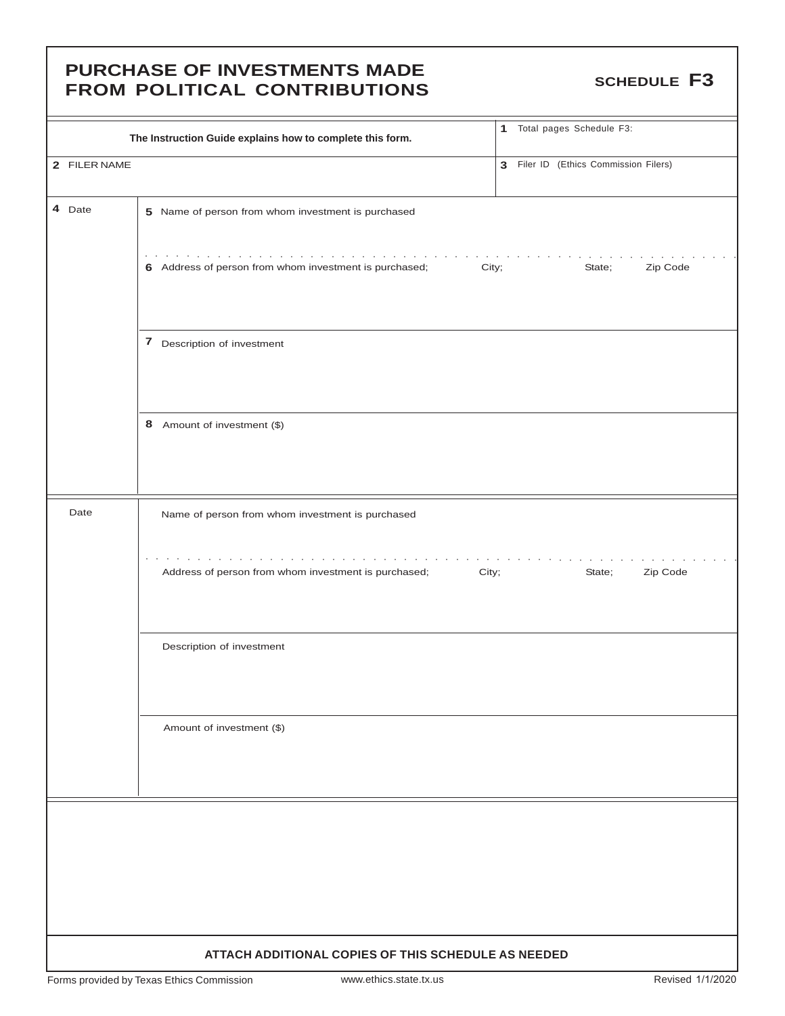### **PURCHASE OF INVESTMENTS MADE** FUNCTIFICAL OF INVESTINENTS INFIDE

|              | The Instruction Guide explains how to complete this form.       | 1 Total pages Schedule F3:            |
|--------------|-----------------------------------------------------------------|---------------------------------------|
| 2 FILER NAME |                                                                 | 3 Filer ID (Ethics Commission Filers) |
| 4 Date       | 5 Name of person from whom investment is purchased              |                                       |
|              | 6 Address of person from whom investment is purchased;<br>City; | State;<br>Zip Code                    |
|              | 7 Description of investment                                     |                                       |
|              | 8 Amount of investment (\$)                                     |                                       |
| Date         | Name of person from whom investment is purchased                |                                       |
|              | Address of person from whom investment is purchased;<br>City;   | Zip Code<br>State;                    |
|              | Description of investment                                       |                                       |
|              | Amount of investment (\$)                                       |                                       |
|              |                                                                 |                                       |
|              |                                                                 |                                       |
|              | ATTACH ADDITIONAL COPIES OF THIS SCHEDULE AS NEEDED             |                                       |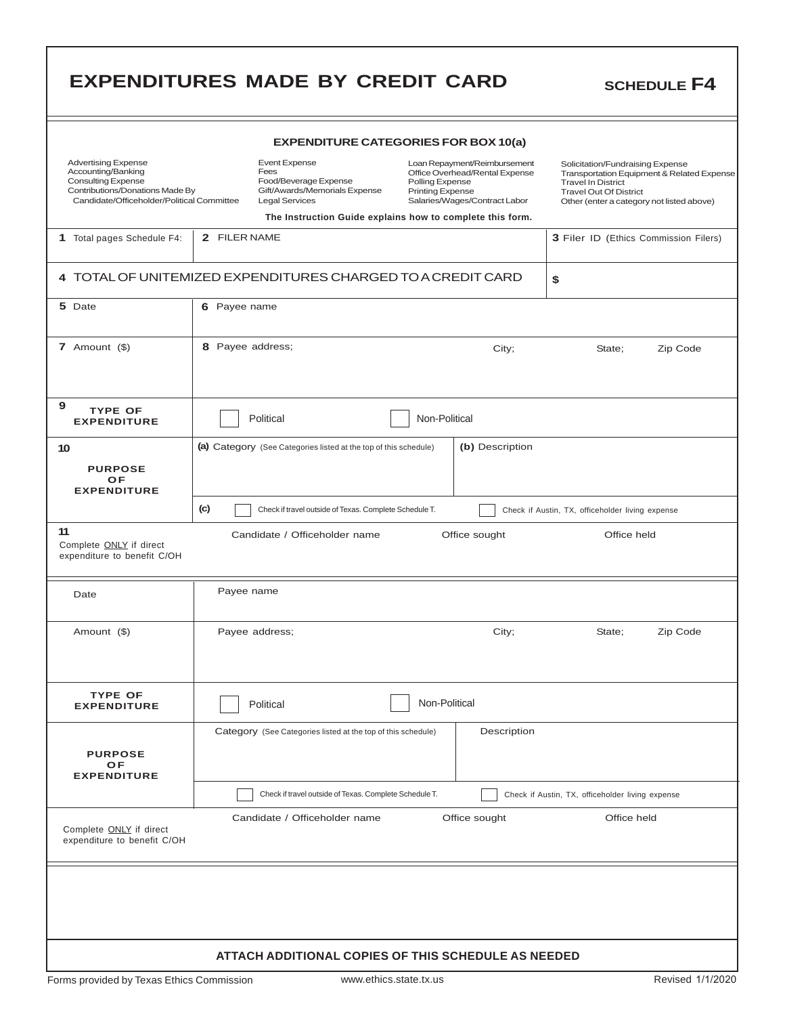|                                                                                                                                                                | <b>EXPENDITURES MADE BY CREDIT CARD</b>                                                                         |                                                                                                                                                                                                            | <b>SCHEDULE F4</b>                                                                                                                                                                        |  |  |  |  |  |
|----------------------------------------------------------------------------------------------------------------------------------------------------------------|-----------------------------------------------------------------------------------------------------------------|------------------------------------------------------------------------------------------------------------------------------------------------------------------------------------------------------------|-------------------------------------------------------------------------------------------------------------------------------------------------------------------------------------------|--|--|--|--|--|
|                                                                                                                                                                |                                                                                                                 | <b>EXPENDITURE CATEGORIES FOR BOX 10(a)</b>                                                                                                                                                                |                                                                                                                                                                                           |  |  |  |  |  |
| <b>Advertising Expense</b><br>Accounting/Banking<br><b>Consulting Expense</b><br>Contributions/Donations Made By<br>Candidate/Officeholder/Political Committee | <b>Event Expense</b><br>Fees<br>Food/Beverage Expense<br>Gift/Awards/Memorials Expense<br><b>Legal Services</b> | Loan Repayment/Reimbursement<br>Office Overhead/Rental Expense<br>Polling Expense<br><b>Printing Expense</b><br>Salaries/Wages/Contract Labor<br>The Instruction Guide explains how to complete this form. | Solicitation/Fundraising Expense<br>Transportation Equipment & Related Expense<br><b>Travel In District</b><br><b>Travel Out Of District</b><br>Other (enter a category not listed above) |  |  |  |  |  |
| 1 Total pages Schedule F4:                                                                                                                                     | 2 FILER NAME                                                                                                    |                                                                                                                                                                                                            | 3 Filer ID (Ethics Commission Filers)                                                                                                                                                     |  |  |  |  |  |
|                                                                                                                                                                | 4 TOTAL OF UNITEMIZED EXPENDITURES CHARGED TO A CREDIT CARD<br>\$                                               |                                                                                                                                                                                                            |                                                                                                                                                                                           |  |  |  |  |  |
| 5 Date                                                                                                                                                         | 6 Payee name                                                                                                    |                                                                                                                                                                                                            |                                                                                                                                                                                           |  |  |  |  |  |
| 7 Amount $($)$                                                                                                                                                 | 8 Payee address;                                                                                                | City;                                                                                                                                                                                                      | Zip Code<br>State;                                                                                                                                                                        |  |  |  |  |  |
| 9<br><b>TYPE OF</b><br><b>EXPENDITURE</b>                                                                                                                      | Political                                                                                                       | Non-Political                                                                                                                                                                                              |                                                                                                                                                                                           |  |  |  |  |  |
| 10<br><b>PURPOSE</b><br>OF<br><b>EXPENDITURE</b>                                                                                                               | (a) Category (See Categories listed at the top of this schedule)                                                | (b) Description                                                                                                                                                                                            |                                                                                                                                                                                           |  |  |  |  |  |
|                                                                                                                                                                | (c)<br>Check if travel outside of Texas. Complete Schedule T.                                                   |                                                                                                                                                                                                            | Check if Austin, TX, officeholder living expense                                                                                                                                          |  |  |  |  |  |
| 11<br>Complete <b>ONLY</b> if direct<br>expenditure to benefit C/OH                                                                                            | Candidate / Officeholder name                                                                                   | Office sought                                                                                                                                                                                              | Office held                                                                                                                                                                               |  |  |  |  |  |
| Date                                                                                                                                                           | Payee name                                                                                                      |                                                                                                                                                                                                            |                                                                                                                                                                                           |  |  |  |  |  |
| Amount (\$)                                                                                                                                                    | Payee address;                                                                                                  | City;                                                                                                                                                                                                      | State;<br>Zip Code                                                                                                                                                                        |  |  |  |  |  |
| <b>TYPE OF</b><br><b>EXPENDITURE</b>                                                                                                                           | Political                                                                                                       | Non-Political                                                                                                                                                                                              |                                                                                                                                                                                           |  |  |  |  |  |
| <b>PURPOSE</b><br>OF<br><b>EXPENDITURE</b>                                                                                                                     | Category (See Categories listed at the top of this schedule)                                                    | Description                                                                                                                                                                                                |                                                                                                                                                                                           |  |  |  |  |  |
|                                                                                                                                                                | Check if travel outside of Texas. Complete Schedule T.                                                          |                                                                                                                                                                                                            | Check if Austin, TX, officeholder living expense                                                                                                                                          |  |  |  |  |  |
| Complete <b>ONLY</b> if direct<br>expenditure to benefit C/OH                                                                                                  | Candidate / Officeholder name                                                                                   | Office sought                                                                                                                                                                                              | Office held                                                                                                                                                                               |  |  |  |  |  |
|                                                                                                                                                                |                                                                                                                 |                                                                                                                                                                                                            |                                                                                                                                                                                           |  |  |  |  |  |
|                                                                                                                                                                | ATTACH ADDITIONAL COPIES OF THIS SCHEDULE AS NEEDED                                                             |                                                                                                                                                                                                            |                                                                                                                                                                                           |  |  |  |  |  |

г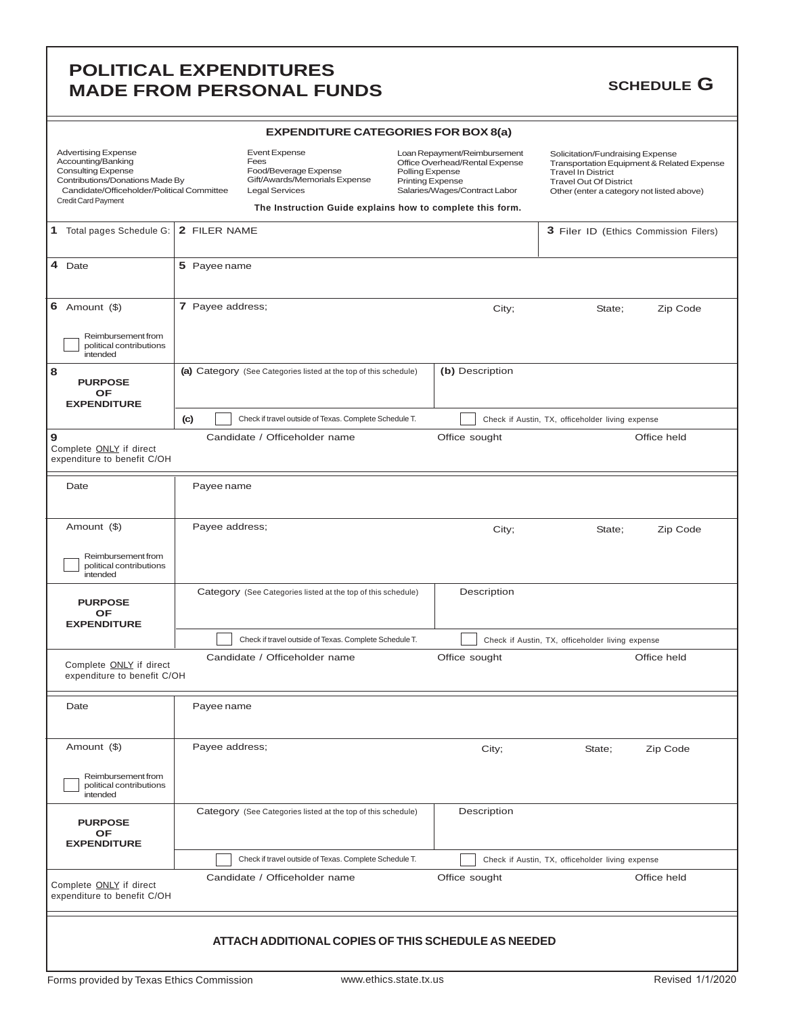### **POLITICAL EXPENDITURES MADE FROM PERSONAL FUNDS** SCHEDULE G

| <b>EXPENDITURE CATEGORIES FOR BOX 8(a)</b>                                                                                                                                            |                         |                                                                                                                 |                                                                                                                                                                                                            |               |                                                                                                                                                                                           |                                                  |        |          |                                       |
|---------------------------------------------------------------------------------------------------------------------------------------------------------------------------------------|-------------------------|-----------------------------------------------------------------------------------------------------------------|------------------------------------------------------------------------------------------------------------------------------------------------------------------------------------------------------------|---------------|-------------------------------------------------------------------------------------------------------------------------------------------------------------------------------------------|--------------------------------------------------|--------|----------|---------------------------------------|
| <b>Advertising Expense</b><br>Accounting/Banking<br><b>Consulting Expense</b><br>Contributions/Donations Made By<br>Candidate/Officeholder/Political Committee<br>Credit Card Payment |                         | <b>Event Expense</b><br>Fees<br>Food/Beverage Expense<br>Gift/Awards/Memorials Expense<br><b>Legal Services</b> | Loan Repayment/Reimbursement<br>Office Overhead/Rental Expense<br>Polling Expense<br><b>Printing Expense</b><br>Salaries/Wages/Contract Labor<br>The Instruction Guide explains how to complete this form. |               | Solicitation/Fundraising Expense<br>Transportation Equipment & Related Expense<br><b>Travel In District</b><br><b>Travel Out Of District</b><br>Other (enter a category not listed above) |                                                  |        |          |                                       |
|                                                                                                                                                                                       |                         |                                                                                                                 |                                                                                                                                                                                                            |               |                                                                                                                                                                                           |                                                  |        |          |                                       |
| 1 Total pages Schedule G:                                                                                                                                                             | 2 FILER NAME            |                                                                                                                 |                                                                                                                                                                                                            |               |                                                                                                                                                                                           |                                                  |        |          | 3 Filer ID (Ethics Commission Filers) |
| 4 Date                                                                                                                                                                                | 5 Payee name            |                                                                                                                 |                                                                                                                                                                                                            |               |                                                                                                                                                                                           |                                                  |        |          |                                       |
| 6 Amount $(\$)$<br>Reimbursement from                                                                                                                                                 |                         | 7 Payee address;                                                                                                |                                                                                                                                                                                                            |               |                                                                                                                                                                                           | City;                                            |        | State;   | Zip Code                              |
| political contributions<br>intended                                                                                                                                                   |                         |                                                                                                                 |                                                                                                                                                                                                            |               |                                                                                                                                                                                           |                                                  |        |          |                                       |
| 8<br><b>PURPOSE</b><br><b>OF</b><br><b>EXPENDITURE</b>                                                                                                                                |                         | (a) Category (See Categories listed at the top of this schedule)                                                |                                                                                                                                                                                                            |               |                                                                                                                                                                                           | (b) Description                                  |        |          |                                       |
|                                                                                                                                                                                       | (c)                     | Check if travel outside of Texas. Complete Schedule T.                                                          |                                                                                                                                                                                                            |               |                                                                                                                                                                                           | Check if Austin, TX, officeholder living expense |        |          |                                       |
| 9<br>Complete ONLY if direct<br>expenditure to benefit C/OH                                                                                                                           |                         | Candidate / Officeholder name                                                                                   |                                                                                                                                                                                                            | Office sought |                                                                                                                                                                                           |                                                  |        |          | Office held                           |
| Date                                                                                                                                                                                  |                         | Payee name                                                                                                      |                                                                                                                                                                                                            |               |                                                                                                                                                                                           |                                                  |        |          |                                       |
| Amount (\$)                                                                                                                                                                           |                         | Payee address;                                                                                                  |                                                                                                                                                                                                            |               |                                                                                                                                                                                           | City;                                            |        | State;   | Zip Code                              |
| Reimbursement from<br>political contributions<br>intended                                                                                                                             |                         |                                                                                                                 |                                                                                                                                                                                                            |               |                                                                                                                                                                                           |                                                  |        |          |                                       |
| <b>PURPOSE</b><br>OF<br><b>EXPENDITURE</b>                                                                                                                                            |                         | Category (See Categories listed at the top of this schedule)                                                    |                                                                                                                                                                                                            |               |                                                                                                                                                                                           | Description                                      |        |          |                                       |
|                                                                                                                                                                                       |                         | Check if travel outside of Texas. Complete Schedule T.                                                          |                                                                                                                                                                                                            |               |                                                                                                                                                                                           | Check if Austin, TX, officeholder living expense |        |          |                                       |
| Complete <b>ONLY</b> if direct<br>expenditure to benefit C/OH                                                                                                                         |                         | Candidate / Officeholder name                                                                                   |                                                                                                                                                                                                            |               |                                                                                                                                                                                           | Office sought                                    |        |          | Office held                           |
| Date                                                                                                                                                                                  |                         | Payee name                                                                                                      |                                                                                                                                                                                                            |               |                                                                                                                                                                                           |                                                  |        |          |                                       |
| Amount (\$)                                                                                                                                                                           | Payee address;<br>City; |                                                                                                                 |                                                                                                                                                                                                            |               |                                                                                                                                                                                           |                                                  | State; | Zip Code |                                       |
| Reimbursement from<br>political contributions<br>intended                                                                                                                             |                         |                                                                                                                 |                                                                                                                                                                                                            |               |                                                                                                                                                                                           |                                                  |        |          |                                       |
| <b>PURPOSE</b><br>OF<br><b>EXPENDITURE</b>                                                                                                                                            |                         | Category (See Categories listed at the top of this schedule)                                                    |                                                                                                                                                                                                            |               |                                                                                                                                                                                           | Description                                      |        |          |                                       |
|                                                                                                                                                                                       |                         | Check if travel outside of Texas. Complete Schedule T.                                                          |                                                                                                                                                                                                            |               |                                                                                                                                                                                           | Check if Austin, TX, officeholder living expense |        |          |                                       |
| Complete ONLY if direct<br>expenditure to benefit C/OH                                                                                                                                |                         | Candidate / Officeholder name                                                                                   |                                                                                                                                                                                                            |               |                                                                                                                                                                                           | Office sought                                    |        |          | Office held                           |
|                                                                                                                                                                                       |                         | ATTACH ADDITIONAL COPIES OF THIS SCHEDULE AS NEEDED                                                             |                                                                                                                                                                                                            |               |                                                                                                                                                                                           |                                                  |        |          |                                       |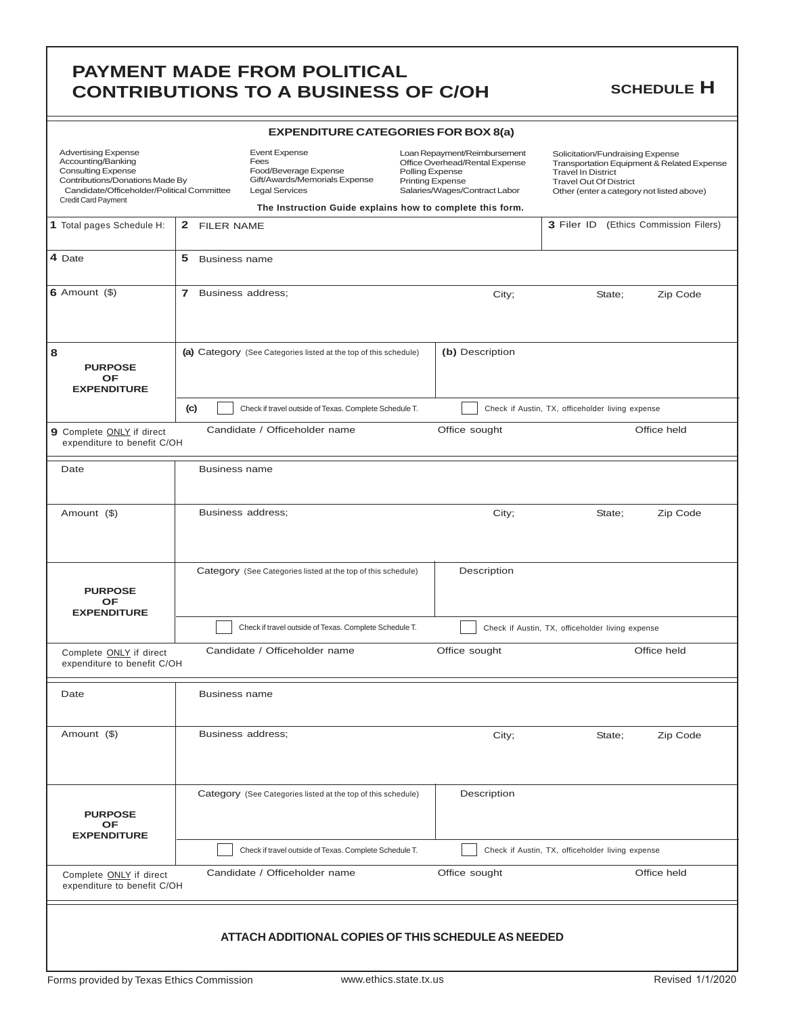|                                                                                                                                                                                       |                                   | <b>CONTRIBUTIONS TO A BUSINESS OF C/OH</b>                                                                                                                                   |                                            |                                                                                                 |                                                                                                                                             | <b>SCHEDULE H</b>                          |
|---------------------------------------------------------------------------------------------------------------------------------------------------------------------------------------|-----------------------------------|------------------------------------------------------------------------------------------------------------------------------------------------------------------------------|--------------------------------------------|-------------------------------------------------------------------------------------------------|---------------------------------------------------------------------------------------------------------------------------------------------|--------------------------------------------|
|                                                                                                                                                                                       |                                   | <b>EXPENDITURE CATEGORIES FOR BOX 8(a)</b>                                                                                                                                   |                                            |                                                                                                 |                                                                                                                                             |                                            |
| <b>Advertising Expense</b><br>Accounting/Banking<br><b>Consulting Expense</b><br>Contributions/Donations Made By<br>Candidate/Officeholder/Political Committee<br>Credit Card Payment |                                   | <b>Event Expense</b><br>Fees<br>Food/Beverage Expense<br>Gift/Awards/Memorials Expense<br><b>Legal Services</b><br>The Instruction Guide explains how to complete this form. | Polling Expense<br><b>Printing Expense</b> | Loan Repayment/Reimbursement<br>Office Overhead/Rental Expense<br>Salaries/Wages/Contract Labor | Solicitation/Fundraising Expense<br><b>Travel In District</b><br><b>Travel Out Of District</b><br>Other (enter a category not listed above) | Transportation Equipment & Related Expense |
| 1 Total pages Schedule H:                                                                                                                                                             | 2 FILER NAME                      |                                                                                                                                                                              |                                            |                                                                                                 | 3 Filer ID                                                                                                                                  | (Ethics Commission Filers)                 |
| 4 Date                                                                                                                                                                                | 5<br><b>Business name</b>         |                                                                                                                                                                              |                                            |                                                                                                 |                                                                                                                                             |                                            |
| 6 Amount $($ \$)                                                                                                                                                                      | $\mathbf{7}$<br>Business address; |                                                                                                                                                                              |                                            | City;                                                                                           | State;                                                                                                                                      | Zip Code                                   |
| 8<br><b>PURPOSE</b><br><b>OF</b><br><b>EXPENDITURE</b>                                                                                                                                |                                   | (a) Category (See Categories listed at the top of this schedule)                                                                                                             |                                            | (b) Description                                                                                 |                                                                                                                                             |                                            |
|                                                                                                                                                                                       | (c)                               | Check if travel outside of Texas. Complete Schedule T.                                                                                                                       |                                            |                                                                                                 | Check if Austin, TX, officeholder living expense                                                                                            |                                            |
| 9 Complete ONLY if direct<br>expenditure to benefit C/OH                                                                                                                              |                                   | Candidate / Officeholder name                                                                                                                                                |                                            | Office sought                                                                                   |                                                                                                                                             | Office held                                |
| Date                                                                                                                                                                                  | <b>Business name</b>              |                                                                                                                                                                              |                                            |                                                                                                 |                                                                                                                                             |                                            |
| Amount (\$)                                                                                                                                                                           | Business address;                 |                                                                                                                                                                              |                                            | City;                                                                                           | State;                                                                                                                                      | Zip Code                                   |
| <b>PURPOSE</b><br>ОF<br><b>EXPENDITURE</b>                                                                                                                                            |                                   | Category (See Categories listed at the top of this schedule)                                                                                                                 |                                            | Description                                                                                     |                                                                                                                                             |                                            |
|                                                                                                                                                                                       |                                   | Check if travel outside of Texas. Complete Schedule T.                                                                                                                       |                                            |                                                                                                 | Check if Austin, TX, officeholder living expense                                                                                            |                                            |
| Complete <b>ONLY</b> if direct<br>expenditure to benefit C/OH                                                                                                                         |                                   | Candidate / Officeholder name                                                                                                                                                |                                            | Office sought                                                                                   |                                                                                                                                             | Office held                                |
| Date                                                                                                                                                                                  | <b>Business name</b>              |                                                                                                                                                                              |                                            |                                                                                                 |                                                                                                                                             |                                            |
| Amount (\$)                                                                                                                                                                           | Business address;                 |                                                                                                                                                                              |                                            | City;                                                                                           | State;                                                                                                                                      | Zip Code                                   |
| <b>PURPOSE</b><br><b>OF</b><br><b>EXPENDITURE</b>                                                                                                                                     |                                   | Category (See Categories listed at the top of this schedule)                                                                                                                 |                                            | Description                                                                                     |                                                                                                                                             |                                            |
|                                                                                                                                                                                       |                                   | Check if travel outside of Texas. Complete Schedule T.                                                                                                                       |                                            |                                                                                                 | Check if Austin, TX, officeholder living expense                                                                                            |                                            |
| Complete <b>ONLY</b> if direct<br>expenditure to benefit C/OH                                                                                                                         |                                   | Candidate / Officeholder name                                                                                                                                                |                                            | Office sought                                                                                   |                                                                                                                                             | Office held                                |
|                                                                                                                                                                                       |                                   | ATTACH ADDITIONAL COPIES OF THIS SCHEDULE AS NEEDED                                                                                                                          |                                            |                                                                                                 |                                                                                                                                             |                                            |

**PAYMENT MADE FROM POLITICAL**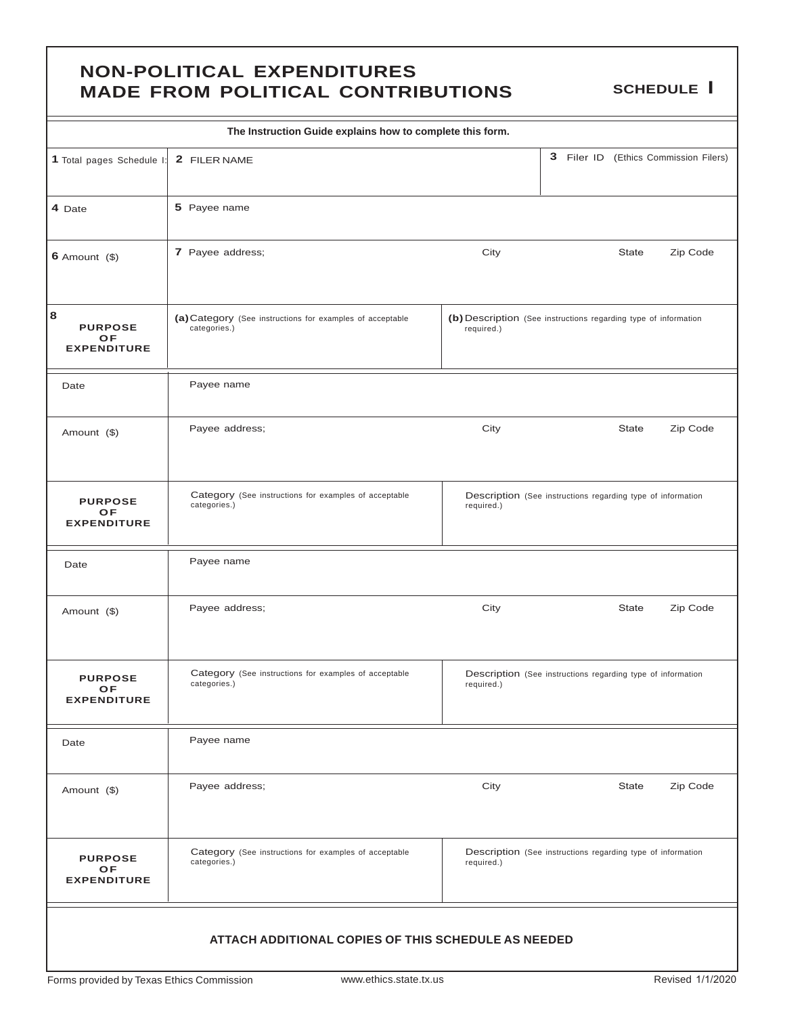### **NON-POLITICAL EXPENDITURES MADE FROM POLITICAL CONTRIBUTIONS SCHEDULE I**

| The Instruction Guide explains how to complete this form. |                                                                           |                                                                               |  |              |                                       |  |
|-----------------------------------------------------------|---------------------------------------------------------------------------|-------------------------------------------------------------------------------|--|--------------|---------------------------------------|--|
| 1 Total pages Schedule I:                                 | 2 FILER NAME                                                              |                                                                               |  |              | 3 Filer ID (Ethics Commission Filers) |  |
| 4 Date                                                    | 5 Payee name                                                              |                                                                               |  |              |                                       |  |
| $6$ Amount $($)$                                          | 7 Payee address;                                                          | City                                                                          |  | <b>State</b> | Zip Code                              |  |
| 8<br><b>PURPOSE</b><br>OF<br><b>EXPENDITURE</b>           | (a) Category (See instructions for examples of acceptable<br>categories.) | (b) Description (See instructions regarding type of information<br>required.) |  |              |                                       |  |
| Date                                                      | Payee name                                                                |                                                                               |  |              |                                       |  |
| Amount (\$)                                               | Payee address;                                                            | City                                                                          |  | <b>State</b> | Zip Code                              |  |
| <b>PURPOSE</b><br><b>OF</b><br><b>EXPENDITURE</b>         | Category (See instructions for examples of acceptable<br>categories.)     | Description (See instructions regarding type of information<br>required.)     |  |              |                                       |  |
| Date                                                      | Payee name                                                                |                                                                               |  |              |                                       |  |
| Amount (\$)                                               | Payee address;                                                            | City                                                                          |  | <b>State</b> | Zip Code                              |  |
| <b>PURPOSE</b><br>OF<br><b>EXPENDITURE</b>                | Category (See instructions for examples of acceptable<br>categories.)     | Description (See instructions regarding type of information<br>required.)     |  |              |                                       |  |
| Date                                                      | Payee name                                                                |                                                                               |  |              |                                       |  |
| Amount (\$)                                               | Payee address;                                                            | City                                                                          |  | <b>State</b> | Zip Code                              |  |
| <b>PURPOSE</b><br>OF<br><b>EXPENDITURE</b>                | Category (See instructions for examples of acceptable<br>categories.)     | Description (See instructions regarding type of information<br>required.)     |  |              |                                       |  |
| ATTACH ADDITIONAL COPIES OF THIS SCHEDULE AS NEEDED       |                                                                           |                                                                               |  |              |                                       |  |

L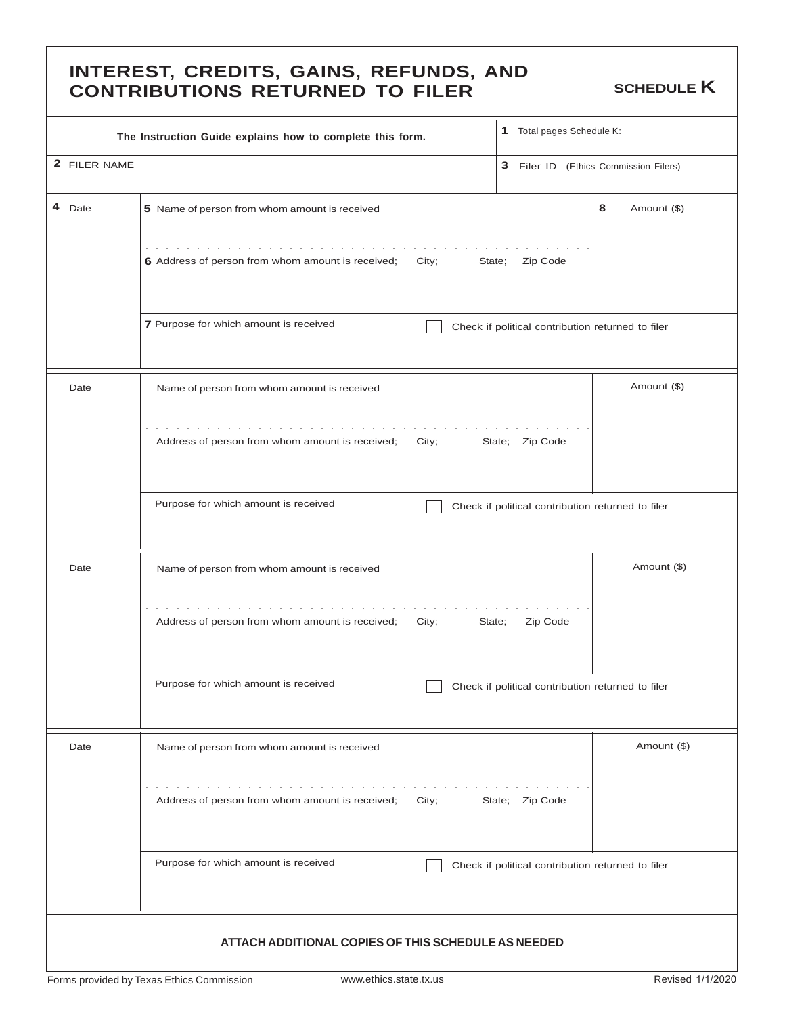### **INTEREST, CREDITS, GAINS, REFUNDS, AND CONTRIBUTIONS RETURNED TO FILER** SCHEDULE **K**

|              | The Instruction Guide explains how to complete this form.                                                            | 1 Total pages Schedule K:                         |                  |  |  |  |
|--------------|----------------------------------------------------------------------------------------------------------------------|---------------------------------------------------|------------------|--|--|--|
| 2 FILER NAME |                                                                                                                      | 3 Filer ID (Ethics Commission Filers)             |                  |  |  |  |
| 4 Date       | 5 Name of person from whom amount is received                                                                        |                                                   | 8<br>Amount (\$) |  |  |  |
|              | and the second contract of the second<br>6 Address of person from whom amount is received;<br>City;<br>State;        | Zip Code                                          |                  |  |  |  |
|              | 7 Purpose for which amount is received                                                                               | Check if political contribution returned to filer |                  |  |  |  |
| Date         | Name of person from whom amount is received                                                                          |                                                   | Amount (\$)      |  |  |  |
|              | the contract of the contract of the contract of the<br>Address of person from whom amount is received;<br>City;      | State; Zip Code                                   |                  |  |  |  |
|              | Purpose for which amount is received                                                                                 | Check if political contribution returned to filer |                  |  |  |  |
| Date         | Name of person from whom amount is received                                                                          |                                                   | Amount (\$)      |  |  |  |
|              | the contract of the contract of the con-<br>Address of person from whom amount is received;<br>City;<br>State;       | Zip Code                                          |                  |  |  |  |
|              | Purpose for which amount is received                                                                                 | Check if political contribution returned to filer |                  |  |  |  |
| Date         | Name of person from whom amount is received                                                                          |                                                   | Amount (\$)      |  |  |  |
|              | the second contract of the contract of the second second<br>Address of person from whom amount is received;<br>City; | State; Zip Code                                   |                  |  |  |  |
|              | Purpose for which amount is received                                                                                 | Check if political contribution returned to filer |                  |  |  |  |
|              | ATTACH ADDITIONAL COPIES OF THIS SCHEDULE AS NEEDED                                                                  |                                                   |                  |  |  |  |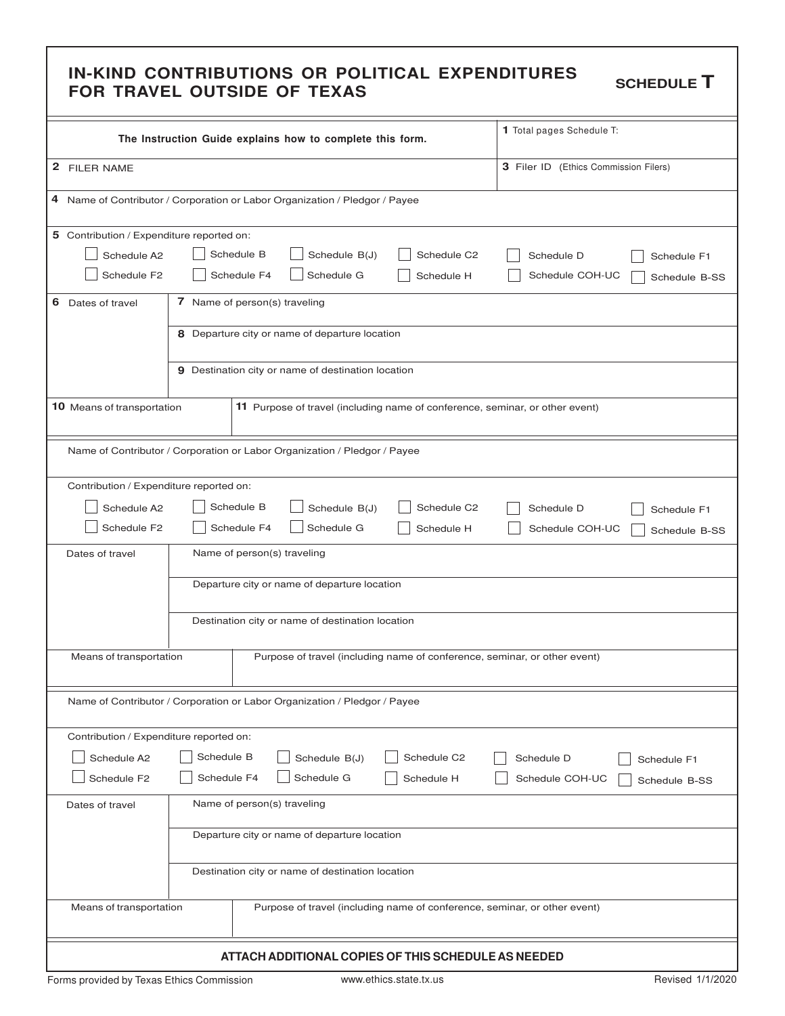# IN-KIND CONTRIBUTIONS OR POLITICAL EXPENDITURES schedule **T**<br>FOR TRAVEL OUTSIDE OF TEXAS

|                                                                                        |                                                                                            |            | The Instruction Guide explains how to complete this form. |             | 1 Total pages Schedule T:                                                    |  |  |
|----------------------------------------------------------------------------------------|--------------------------------------------------------------------------------------------|------------|-----------------------------------------------------------|-------------|------------------------------------------------------------------------------|--|--|
| 2 FILER NAME                                                                           | 3 Filer ID (Ethics Commission Filers)                                                      |            |                                                           |             |                                                                              |  |  |
|                                                                                        | 4 Name of Contributor / Corporation or Labor Organization / Pledgor / Payee                |            |                                                           |             |                                                                              |  |  |
| 5 Contribution / Expenditure reported on:                                              |                                                                                            |            |                                                           |             |                                                                              |  |  |
| Schedule A2                                                                            |                                                                                            | Schedule B | Schedule B(J)                                             | Schedule C2 | Schedule D                                                                   |  |  |
| Schedule F2                                                                            | Schedule F1<br>Schedule F4<br>Schedule G<br>Schedule H<br>Schedule COH-UC<br>Schedule B-SS |            |                                                           |             |                                                                              |  |  |
| 6<br>Dates of travel                                                                   | 7 Name of person(s) traveling                                                              |            |                                                           |             |                                                                              |  |  |
|                                                                                        |                                                                                            |            | 8 Departure city or name of departure location            |             |                                                                              |  |  |
|                                                                                        |                                                                                            |            | 9 Destination city or name of destination location        |             |                                                                              |  |  |
| 10 Means of transportation                                                             |                                                                                            |            |                                                           |             | 11 Purpose of travel (including name of conference, seminar, or other event) |  |  |
| Name of Contributor / Corporation or Labor Organization / Pledgor / Payee              |                                                                                            |            |                                                           |             |                                                                              |  |  |
| Contribution / Expenditure reported on:                                                |                                                                                            |            |                                                           |             |                                                                              |  |  |
| Schedule A2                                                                            |                                                                                            | Schedule B | Schedule B(J)                                             | Schedule C2 | Schedule D<br>Schedule F1                                                    |  |  |
| Schedule F2                                                                            | Schedule G<br>Schedule F4<br>Schedule H<br>Schedule COH-UC<br>Schedule B-SS                |            |                                                           |             |                                                                              |  |  |
| Dates of travel                                                                        | Name of person(s) traveling                                                                |            |                                                           |             |                                                                              |  |  |
|                                                                                        | Departure city or name of departure location                                               |            |                                                           |             |                                                                              |  |  |
|                                                                                        | Destination city or name of destination location                                           |            |                                                           |             |                                                                              |  |  |
| Means of transportation                                                                | Purpose of travel (including name of conference, seminar, or other event)                  |            |                                                           |             |                                                                              |  |  |
| Name of Contributor / Corporation or Labor Organization / Pledgor / Payee              |                                                                                            |            |                                                           |             |                                                                              |  |  |
| Contribution / Expenditure reported on:                                                |                                                                                            |            |                                                           |             |                                                                              |  |  |
| Schedule B<br>Schedule B(J)<br>Schedule C2<br>Schedule A2<br>Schedule D<br>Schedule F1 |                                                                                            |            |                                                           |             |                                                                              |  |  |
| Schedule F2                                                                            | Schedule G<br>Schedule F4<br>Schedule H<br>Schedule COH-UC<br>Schedule B-SS                |            |                                                           |             |                                                                              |  |  |
| Dates of travel                                                                        | Name of person(s) traveling                                                                |            |                                                           |             |                                                                              |  |  |
|                                                                                        | Departure city or name of departure location                                               |            |                                                           |             |                                                                              |  |  |
|                                                                                        | Destination city or name of destination location                                           |            |                                                           |             |                                                                              |  |  |
| Means of transportation                                                                |                                                                                            |            |                                                           |             | Purpose of travel (including name of conference, seminar, or other event)    |  |  |
| ATTACH ADDITIONAL COPIES OF THIS SCHEDULE AS NEEDED                                    |                                                                                            |            |                                                           |             |                                                                              |  |  |

Forms provided by Texas Ethics Commission www.ethics.state.tx.us example and the series of 1/1/2020